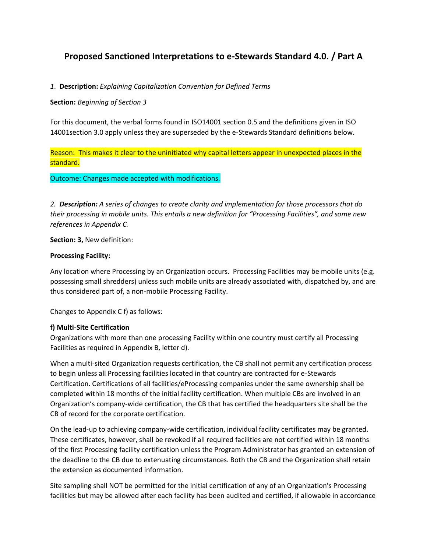# **Proposed Sanctioned Interpretations to e-Stewards Standard 4.0. / Part A**

# *1*. **Description:** *Explaining Capitalization Convention for Defined Terms*

## **Section:** *Beginning of Section 3*

For this document, the verbal forms found in ISO14001 section 0.5 and the definitions given in ISO 14001section 3.0 apply unless they are superseded by the e-Stewards Standard definitions below.

Reason: This makes it clear to the uninitiated why capital letters appear in unexpected places in the standard.

Outcome: Changes made accepted with modifications.

*2. Description: A series of changes to create clarity and implementation for those processors that do their processing in mobile units. This entails a new definition for "Processing Facilities", and some new references in Appendix C.*

**Section: 3,** New definition:

#### **Processing Facility:**

Any location where Processing by an Organization occurs. Processing Facilities may be mobile units (e.g. possessing small shredders) unless such mobile units are already associated with, dispatched by, and are thus considered part of, a non-mobile Processing Facility.

Changes to Appendix C f) as follows:

## **f) Multi-Site Certification**

Organizations with more than one processing Facility within one country must certify all Processing Facilities as required in Appendix B, letter d).

When a multi-sited Organization requests certification, the CB shall not permit any certification process to begin unless all Processing facilities located in that country are contracted for e-Stewards Certification. Certifications of all facilities/eProcessing companies under the same ownership shall be completed within 18 months of the initial facility certification. When multiple CBs are involved in an Organization's company-wide certification, the CB that has certified the headquarters site shall be the CB of record for the corporate certification.

On the lead-up to achieving company-wide certification, individual facility certificates may be granted. These certificates, however, shall be revoked if all required facilities are not certified within 18 months of the first Processing facility certification unless the Program Administrator has granted an extension of the deadline to the CB due to extenuating circumstances. Both the CB and the Organization shall retain the extension as documented information.

Site sampling shall NOT be permitted for the initial certification of any of an Organization's Processing facilities but may be allowed after each facility has been audited and certified, if allowable in accordance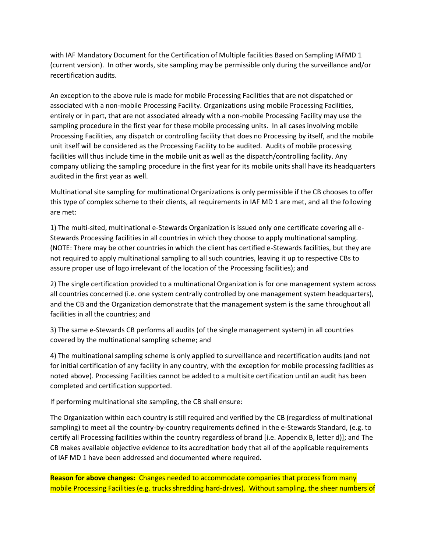with IAF Mandatory Document for the Certification of Multiple facilities Based on Sampling IAFMD 1 (current version). In other words, site sampling may be permissible only during the surveillance and/or recertification audits.

An exception to the above rule is made for mobile Processing Facilities that are not dispatched or associated with a non-mobile Processing Facility. Organizations using mobile Processing Facilities, entirely or in part, that are not associated already with a non-mobile Processing Facility may use the sampling procedure in the first year for these mobile processing units. In all cases involving mobile Processing Facilities, any dispatch or controlling facility that does no Processing by itself, and the mobile unit itself will be considered as the Processing Facility to be audited. Audits of mobile processing facilities will thus include time in the mobile unit as well as the dispatch/controlling facility. Any company utilizing the sampling procedure in the first year for its mobile units shall have its headquarters audited in the first year as well.

Multinational site sampling for multinational Organizations is only permissible if the CB chooses to offer this type of complex scheme to their clients, all requirements in IAF MD 1 are met, and all the following are met:

1) The multi-sited, multinational e-Stewards Organization is issued only one certificate covering all e-Stewards Processing facilities in all countries in which they choose to apply multinational sampling. (NOTE: There may be other countries in which the client has certified e-Stewards facilities, but they are not required to apply multinational sampling to all such countries, leaving it up to respective CBs to assure proper use of logo irrelevant of the location of the Processing facilities); and

2) The single certification provided to a multinational Organization is for one management system across all countries concerned (i.e. one system centrally controlled by one management system headquarters), and the CB and the Organization demonstrate that the management system is the same throughout all facilities in all the countries; and

3) The same e-Stewards CB performs all audits (of the single management system) in all countries covered by the multinational sampling scheme; and

4) The multinational sampling scheme is only applied to surveillance and recertification audits (and not for initial certification of any facility in any country, with the exception for mobile processing facilities as noted above). Processing Facilities cannot be added to a multisite certification until an audit has been completed and certification supported.

If performing multinational site sampling, the CB shall ensure:

The Organization within each country is still required and verified by the CB (regardless of multinational sampling) to meet all the country-by-country requirements defined in the e-Stewards Standard, (e.g. to certify all Processing facilities within the country regardless of brand [i.e. Appendix B, letter d)]; and The CB makes available objective evidence to its accreditation body that all of the applicable requirements of IAF MD 1 have been addressed and documented where required.

**Reason for above changes:** Changes needed to accommodate companies that process from many mobile Processing Facilities (e.g. trucks shredding hard-drives). Without sampling, the sheer numbers of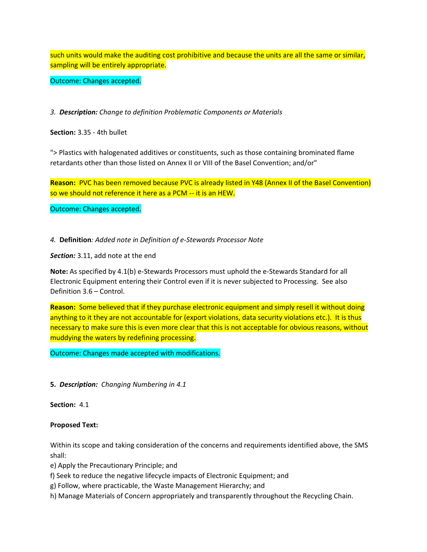such units would make the auditing cost prohibitive and because the units are all the same or similar, sampling will be entirely appropriate.

Outcome: Changes accepted.

*3. Description: Change to definition Problematic Components or Materials*

**Section:** 3.35 - 4th bullet

"> Plastics with halogenated additives or constituents, such as those containing brominated flame retardants other than those listed on Annex II or VIII of the Basel Convention; and/or"

**Reason:** PVC has been removed because PVC is already listed in Y48 (Annex II of the Basel Convention) so we should not reference it here as a PCM -- it is an HEW.

Outcome: Changes accepted.

*4.* **Definition***: Added note in Definition of e-Stewards Processor Note* 

*Section:* 3.11, add note at the end

**Note:** As specified by 4.1(b) e-Stewards Processors must uphold the e-Stewards Standard for all Electronic Equipment entering their Control even if it is never subjected to Processing. See also Definition 3.6 – Control.

**Reason:** Some believed that if they purchase electronic equipment and simply resell it without doing anything to it they are not accountable for (export violations, data security violations etc.). It is thus necessary to make sure this is even more clear that this is not acceptable for obvious reasons, without muddying the waters by redefining processing.

Outcome: Changes made accepted with modifications.

**5.** *Description: Changing Numbering in 4.1*

**Section:** 4.1

#### **Proposed Text:**

Within its scope and taking consideration of the concerns and requirements identified above, the SMS shall:

e) Apply the Precautionary Principle; and

f) Seek to reduce the negative lifecycle impacts of Electronic Equipment; and

g) Follow, where practicable, the Waste Management Hierarchy; and

h) Manage Materials of Concern appropriately and transparently throughout the Recycling Chain.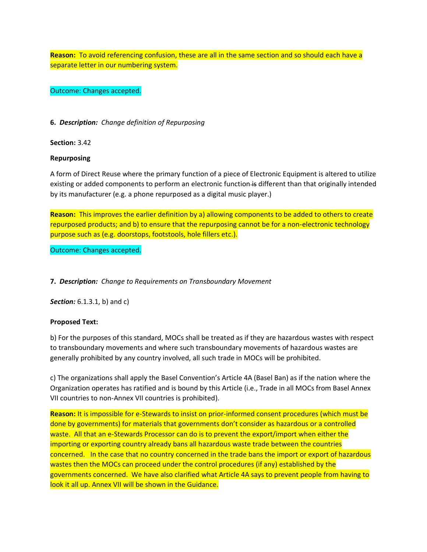**Reason:** To avoid referencing confusion, these are all in the same section and so should each have a separate letter in our numbering system.

Outcome: Changes accepted.

**6.** *Description: Change definition of Repurposing*

**Section:** 3.42

# **Repurposing**

A form of Direct Reuse where the primary function of a piece of Electronic Equipment is altered to utilize existing or added components to perform an electronic function is different than that originally intended by its manufacturer (e.g. a phone repurposed as a digital music player.)

**Reason:** This improves the earlier definition by a) allowing components to be added to others to create repurposed products; and b) to ensure that the repurposing cannot be for a non-electronic technology purpose such as (e.g. doorstops, footstools, hole fillers etc.).

Outcome: Changes accepted.

**7.** *Description: Change to Requirements on Transboundary Movement*

*Section:* 6.1.3.1, b) and c)

## **Proposed Text:**

b) For the purposes of this standard, MOCs shall be treated as if they are hazardous wastes with respect to transboundary movements and where such transboundary movements of hazardous wastes are generally prohibited by any country involved, all such trade in MOCs will be prohibited.

c) The organizations shall apply the Basel Convention's Article 4A (Basel Ban) as if the nation where the Organization operates has ratified and is bound by this Article (i.e., Trade in all MOCs from Basel Annex VII countries to non-Annex VII countries is prohibited).

**Reason:** It is impossible for e-Stewards to insist on prior-informed consent procedures (which must be done by governments) for materials that governments don't consider as hazardous or a controlled waste. All that an e-Stewards Processor can do is to prevent the export/import when either the importing or exporting country already bans all hazardous waste trade between the countries concerned. In the case that no country concerned in the trade bans the import or export of hazardous wastes then the MOCs can proceed under the control procedures (if any) established by the governments concerned. We have also clarified what Article 4A says to prevent people from having to look it all up. Annex VII will be shown in the Guidance.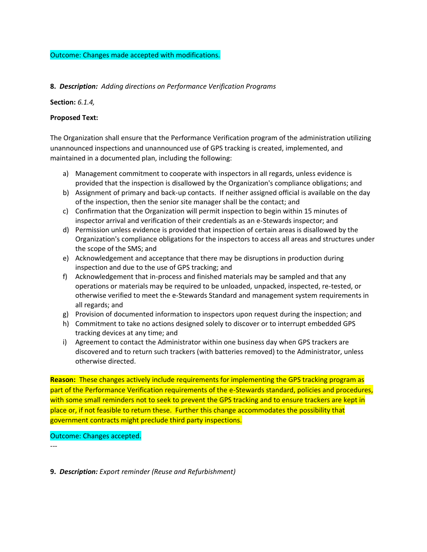#### Outcome: Changes made accepted with modifications.

#### **8.** *Description: Adding directions on Performance Verification Programs*

#### **Section:** *6.1.4,*

#### **Proposed Text:**

The Organization shall ensure that the Performance Verification program of the administration utilizing unannounced inspections and unannounced use of GPS tracking is created, implemented, and maintained in a documented plan, including the following:

- a) Management commitment to cooperate with inspectors in all regards, unless evidence is provided that the inspection is disallowed by the Organization's compliance obligations; and
- b) Assignment of primary and back-up contacts. If neither assigned official is available on the day of the inspection, then the senior site manager shall be the contact; and
- c) Confirmation that the Organization will permit inspection to begin within 15 minutes of inspector arrival and verification of their credentials as an e-Stewards inspector; and
- d) Permission unless evidence is provided that inspection of certain areas is disallowed by the Organization's compliance obligations for the inspectors to access all areas and structures under the scope of the SMS; and
- e) Acknowledgement and acceptance that there may be disruptions in production during inspection and due to the use of GPS tracking; and
- f) Acknowledgement that in-process and finished materials may be sampled and that any operations or materials may be required to be unloaded, unpacked, inspected, re-tested, or otherwise verified to meet the e-Stewards Standard and management system requirements in all regards; and
- g) Provision of documented information to inspectors upon request during the inspection; and
- h) Commitment to take no actions designed solely to discover or to interrupt embedded GPS tracking devices at any time; and
- i) Agreement to contact the Administrator within one business day when GPS trackers are discovered and to return such trackers (with batteries removed) to the Administrator, unless otherwise directed.

**Reason:** These changes actively include requirements for implementing the GPS tracking program as part of the Performance Verification requirements of the e-Stewards standard, policies and procedures, with some small reminders not to seek to prevent the GPS tracking and to ensure trackers are kept in place or, if not feasible to return these. Further this change accommodates the possibility that government contracts might preclude third party inspections.

## Outcome: Changes accepted.

---

**9.** *Description: Export reminder (Reuse and Refurbishment)*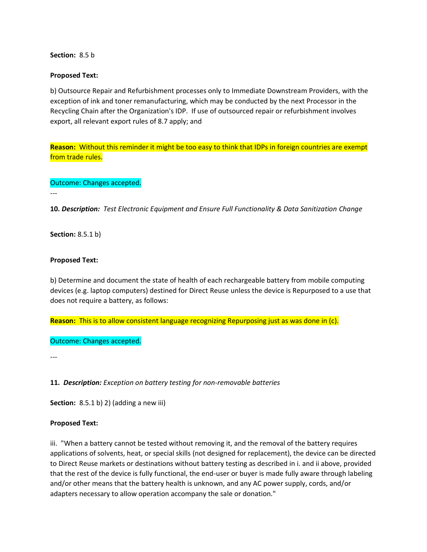**Section:** 8.5 b

#### **Proposed Text:**

b) Outsource Repair and Refurbishment processes only to Immediate Downstream Providers, with the exception of ink and toner remanufacturing, which may be conducted by the next Processor in the Recycling Chain after the Organization's IDP. If use of outsourced repair or refurbishment involves export, all relevant export rules of 8.7 apply; and

**Reason:** Without this reminder it might be too easy to think that IDPs in foreign countries are exempt from trade rules.

#### Outcome: Changes accepted.

**10.** *Description: Test Electronic Equipment and Ensure Full Functionality & Data Sanitization Change*

**Section:** 8.5.1 b)

---

#### **Proposed Text:**

b) Determine and document the state of health of each rechargeable battery from mobile computing devices (e.g. laptop computers) destined for Direct Reuse unless the device is Repurposed to a use that does not require a battery, as follows:

**Reason:** This is to allow consistent language recognizing Repurposing just as was done in (c).

Outcome: Changes accepted.

---

**11.** *Description: Exception on battery testing for non-removable batteries*

**Section:** 8.5.1 b) 2) (adding a new iii)

#### **Proposed Text:**

iii. "When a battery cannot be tested without removing it, and the removal of the battery requires applications of solvents, heat, or special skills (not designed for replacement), the device can be directed to Direct Reuse markets or destinations without battery testing as described in i. and ii above, provided that the rest of the device is fully functional, the end-user or buyer is made fully aware through labeling and/or other means that the battery health is unknown, and any AC power supply, cords, and/or adapters necessary to allow operation accompany the sale or donation."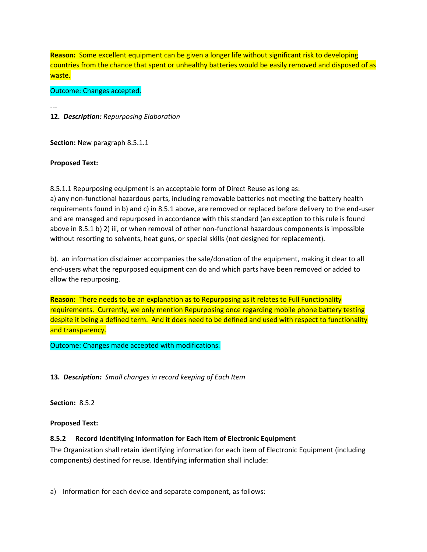**Reason:** Some excellent equipment can be given a longer life without significant risk to developing countries from the chance that spent or unhealthy batteries would be easily removed and disposed of as waste.

Outcome: Changes accepted.

--- **12.** *Description: Repurposing Elaboration*

**Section:** New paragraph 8.5.1.1

# **Proposed Text:**

8.5.1.1 Repurposing equipment is an acceptable form of Direct Reuse as long as:

a) any non-functional hazardous parts, including removable batteries not meeting the battery health requirements found in b) and c) in 8.5.1 above, are removed or replaced before delivery to the end-user and are managed and repurposed in accordance with this standard (an exception to this rule is found above in 8.5.1 b) 2) iii, or when removal of other non-functional hazardous components is impossible without resorting to solvents, heat guns, or special skills (not designed for replacement).

b). an information disclaimer accompanies the sale/donation of the equipment, making it clear to all end-users what the repurposed equipment can do and which parts have been removed or added to allow the repurposing.

**Reason:** There needs to be an explanation as to Repurposing as it relates to Full Functionality requirements. Currently, we only mention Repurposing once regarding mobile phone battery testing despite it being a defined term. And it does need to be defined and used with respect to functionality and transparency.

Outcome: Changes made accepted with modifications.

**13.** *Description: Small changes in record keeping of Each Item*

**Section:** 8.5.2

## **Proposed Text:**

# **8.5.2 Record Identifying Information for Each Item of Electronic Equipment**

The Organization shall retain identifying information for each item of Electronic Equipment (including components) destined for reuse. Identifying information shall include:

a) Information for each device and separate component, as follows: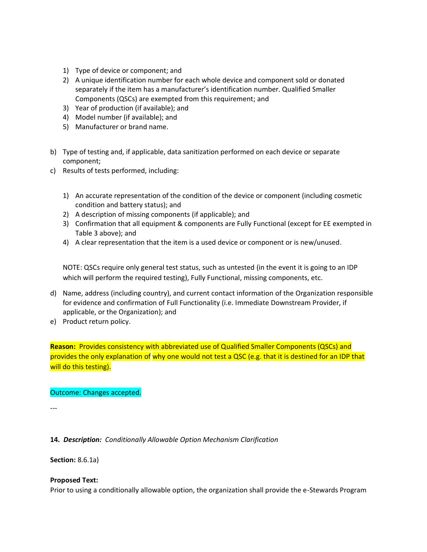- 1) Type of device or component; and
- 2) A unique identification number for each whole device and component sold or donated separately if the item has a manufacturer's identification number. Qualified Smaller Components (QSCs) are exempted from this requirement; and
- 3) Year of production (if available); and
- 4) Model number (if available); and
- 5) Manufacturer or brand name.
- b) Type of testing and, if applicable, data sanitization performed on each device or separate component;
- c) Results of tests performed, including:
	- 1) An accurate representation of the condition of the device or component (including cosmetic condition and battery status); and
	- 2) A description of missing components (if applicable); and
	- 3) Confirmation that all equipment & components are Fully Functional (except for EE exempted in Table 3 above); and
	- 4) A clear representation that the item is a used device or component or is new/unused.

NOTE: QSCs require only general test status, such as untested (in the event it is going to an IDP which will perform the required testing), Fully Functional, missing components, etc.

- d) Name, address (including country), and current contact information of the Organization responsible for evidence and confirmation of Full Functionality (i.e. Immediate Downstream Provider, if applicable, or the Organization); and
- e) Product return policy.

**Reason:** Provides consistency with abbreviated use of Qualified Smaller Components (QSCs) and provides the only explanation of why one would not test a QSC (e.g. that it is destined for an IDP that will do this testing).

## Outcome: Changes accepted.

---

**14.** *Description: Conditionally Allowable Option Mechanism Clarification* 

**Section:** 8.6.1a)

## **Proposed Text:**

Prior to using a conditionally allowable option, the organization shall provide the e-Stewards Program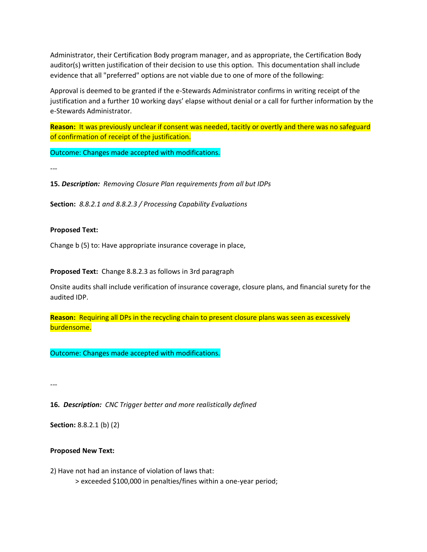Administrator, their Certification Body program manager, and as appropriate, the Certification Body auditor(s) written justification of their decision to use this option. This documentation shall include evidence that all "preferred" options are not viable due to one of more of the following:

Approval is deemed to be granted if the e-Stewards Administrator confirms in writing receipt of the justification and a further 10 working days' elapse without denial or a call for further information by the e-Stewards Administrator.

**Reason:**It was previously unclear if consent was needed, tacitly or overtly and there was no safeguard of confirmation of receipt of the justification.

Outcome: Changes made accepted with modifications.

---

**15.** *Description: Removing Closure Plan requirements from all but IDPs*

**Section:** *8.8.2.1 and 8.8.2.3 / Processing Capability Evaluations* 

#### **Proposed Text:**

Change b (5) to: Have appropriate insurance coverage in place,

**Proposed Text:** Change 8.8.2.3 as follows in 3rd paragraph

Onsite audits shall include verification of insurance coverage, closure plans, and financial surety for the audited IDP.

**Reason:** Requiring all DPs in the recycling chain to present closure plans was seen as excessively burdensome.

Outcome: Changes made accepted with modifications.

---

**16.** *Description: CNC Trigger better and more realistically defined*

**Section:** 8.8.2.1 (b) (2)

#### **Proposed New Text:**

2) Have not had an instance of violation of laws that: > exceeded \$100,000 in penalties/fines within a one-year period;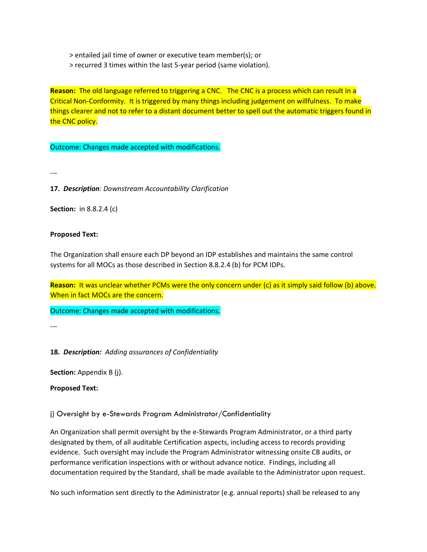> entailed jail time of owner or executive team member(s); or

> recurred 3 times within the last 5-year period (same violation).

**Reason:** The old language referred to triggering a CNC. The CNC is a process which can result in a Critical Non-Conformity. It is triggered by many things including judgement on willfulness. To make things clearer and not to refer to a distant document better to spell out the automatic triggers found in the CNC policy.

Outcome: Changes made accepted with modifications.

---

**17.** *Description: Downstream Accountability Clarification*

**Section:** in 8.8.2.4 (c)

#### **Proposed Text:**

The Organization shall ensure each DP beyond an IDP establishes and maintains the same control systems for all MOCs as those described in Section 8.8.2.4 (b) for PCM IDPs.

Reason: It was unclear whether PCMs were the only concern under (c) as it simply said follow (b) above. When in fact MOCs are the concern.

Outcome: Changes made accepted with modifications.

---

**18.** *Description: Adding assurances of Confidentiality*

**Section:** Appendix B (j).

**Proposed Text:** 

j) Oversight by e-Stewards Program Administrator/Confidentiality

An Organization shall permit oversight by the e-Stewards Program Administrator, or a third party designated by them, of all auditable Certification aspects, including access to records providing evidence. Such oversight may include the Program Administrator witnessing onsite CB audits, or performance verification inspections with or without advance notice. Findings, including all documentation required by the Standard, shall be made available to the Administrator upon request.

No such information sent directly to the Administrator (e.g. annual reports) shall be released to any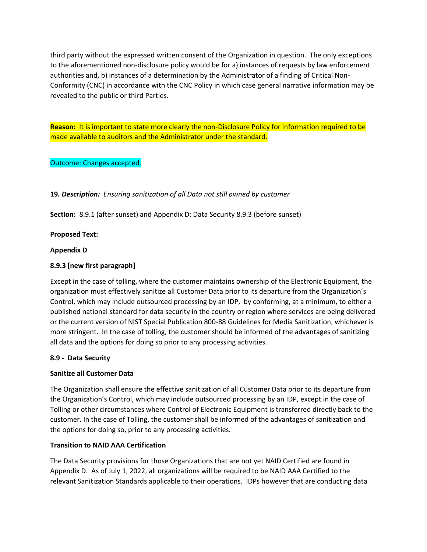third party without the expressed written consent of the Organization in question. The only exceptions to the aforementioned non-disclosure policy would be for a) instances of requests by law enforcement authorities and, b) instances of a determination by the Administrator of a finding of Critical Non-Conformity (CNC) in accordance with the CNC Policy in which case general narrative information may be revealed to the public or third Parties.

**Reason:** It is important to state more clearly the non-Disclosure Policy for information required to be made available to auditors and the Administrator under the standard.

# Outcome: Changes accepted.

# **19.** *Description: Ensuring sanitization of all Data not still owned by customer*

**Section:** 8.9.1 (after sunset) and Appendix D: Data Security 8.9.3 (before sunset)

## **Proposed Text:**

## **Appendix D**

# **8.9.3 [new first paragraph]**

Except in the case of tolling, where the customer maintains ownership of the Electronic Equipment, the organization must effectively sanitize all Customer Data prior to its departure from the Organization's Control, which may include outsourced processing by an IDP, by conforming, at a minimum, to either a published national standard for data security in the country or region where services are being delivered or the current version of NIST Special Publication 800-88 Guidelines for Media Sanitization, whichever is more stringent. In the case of tolling, the customer should be informed of the advantages of sanitizing all data and the options for doing so prior to any processing activities.

## **8.9 - Data Security**

## **Sanitize all Customer Data**

The Organization shall ensure the effective sanitization of all Customer Data prior to its departure from the Organization's Control, which may include outsourced processing by an IDP, except in the case of Tolling or other circumstances where Control of Electronic Equipment is transferred directly back to the customer. In the case of Tolling, the customer shall be informed of the advantages of sanitization and the options for doing so, prior to any processing activities.

## **Transition to NAID AAA Certification**

The Data Security provisions for those Organizations that are not yet NAID Certified are found in Appendix D. As of July 1, 2022, all organizations will be required to be NAID AAA Certified to the relevant Sanitization Standards applicable to their operations. IDPs however that are conducting data